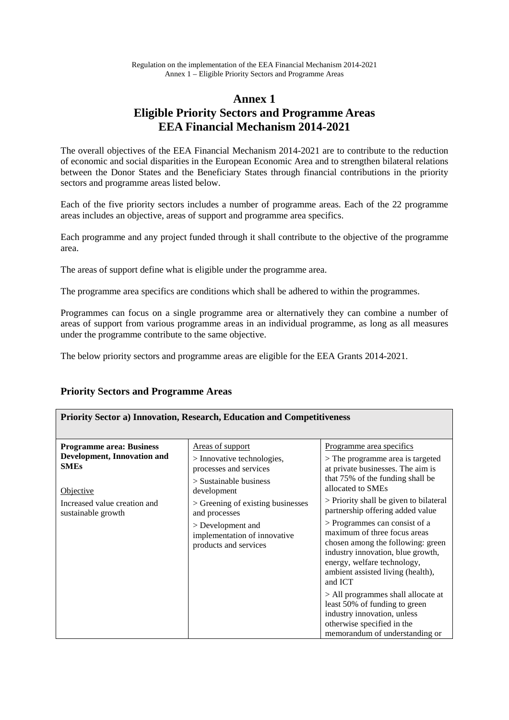# **Annex 1 Eligible Priority Sectors and Programme Areas EEA Financial Mechanism 2014-2021**

The overall objectives of the EEA Financial Mechanism 2014-2021 are to contribute to the reduction of economic and social disparities in the European Economic Area and to strengthen bilateral relations between the Donor States and the Beneficiary States through financial contributions in the priority sectors and programme areas listed below.

Each of the five priority sectors includes a number of programme areas. Each of the 22 programme areas includes an objective, areas of support and programme area specifics.

Each programme and any project funded through it shall contribute to the objective of the programme area.

The areas of support define what is eligible under the programme area.

The programme area specifics are conditions which shall be adhered to within the programmes.

Programmes can focus on a single programme area or alternatively they can combine a number of areas of support from various programme areas in an individual programme, as long as all measures under the programme contribute to the same objective.

The below priority sectors and programme areas are eligible for the EEA Grants 2014-2021.

# **Priority Sectors and Programme Areas**

| <b>Priority Sector a) Innovation, Research, Education and Competitiveness</b> |                                                                                                                                                 |                                                                                                                                                                                                                                                                                                                           |
|-------------------------------------------------------------------------------|-------------------------------------------------------------------------------------------------------------------------------------------------|---------------------------------------------------------------------------------------------------------------------------------------------------------------------------------------------------------------------------------------------------------------------------------------------------------------------------|
| <b>Programme area: Business</b><br>Development, Innovation and<br><b>SMEs</b> | <u>Areas of support</u><br>$>$ Innovative technologies,<br>processes and services<br>$>$ Sustainable business                                   | Programme area specifics<br>> The programme area is targeted<br>at private businesses. The aim is<br>that 75% of the funding shall be                                                                                                                                                                                     |
| Objective<br>Increased value creation and<br>sustainable growth               | development<br>> Greening of existing businesses<br>and processes<br>> Development and<br>implementation of innovative<br>products and services | allocated to SMEs<br>> Priority shall be given to bilateral<br>partnership offering added value<br>> Programmes can consist of a<br>maximum of three focus areas<br>chosen among the following: green<br>industry innovation, blue growth,<br>energy, welfare technology,<br>ambient assisted living (health),<br>and ICT |
|                                                                               |                                                                                                                                                 | > All programmes shall allocate at<br>least 50% of funding to green<br>industry innovation, unless<br>otherwise specified in the<br>memorandum of understanding or                                                                                                                                                        |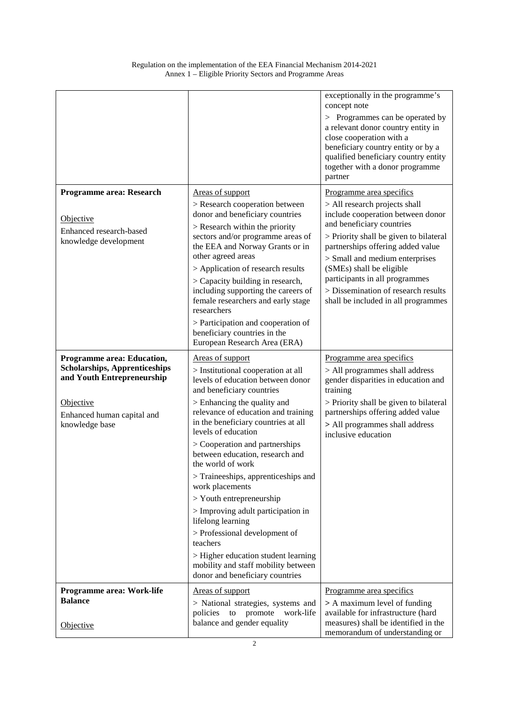|                                                                                                         |                                                                                                                                                                                                                                                                                                                                                                                                                                                | exceptionally in the programme's<br>concept note<br>> Programmes can be operated by<br>a relevant donor country entity in<br>close cooperation with a<br>beneficiary country entity or by a<br>qualified beneficiary country entity<br>together with a donor programme<br>partner                                                                            |
|---------------------------------------------------------------------------------------------------------|------------------------------------------------------------------------------------------------------------------------------------------------------------------------------------------------------------------------------------------------------------------------------------------------------------------------------------------------------------------------------------------------------------------------------------------------|--------------------------------------------------------------------------------------------------------------------------------------------------------------------------------------------------------------------------------------------------------------------------------------------------------------------------------------------------------------|
| Programme area: Research                                                                                | Areas of support                                                                                                                                                                                                                                                                                                                                                                                                                               | Programme area specifics                                                                                                                                                                                                                                                                                                                                     |
| Objective<br>Enhanced research-based<br>knowledge development                                           | > Research cooperation between<br>donor and beneficiary countries<br>$>$ Research within the priority<br>sectors and/or programme areas of<br>the EEA and Norway Grants or in<br>other agreed areas<br>> Application of research results<br>> Capacity building in research,<br>including supporting the careers of<br>female researchers and early stage<br>researchers<br>> Participation and cooperation of<br>beneficiary countries in the | > All research projects shall<br>include cooperation between donor<br>and beneficiary countries<br>> Priority shall be given to bilateral<br>partnerships offering added value<br>> Small and medium enterprises<br>(SMEs) shall be eligible<br>participants in all programmes<br>> Dissemination of research results<br>shall be included in all programmes |
|                                                                                                         | European Research Area (ERA)                                                                                                                                                                                                                                                                                                                                                                                                                   |                                                                                                                                                                                                                                                                                                                                                              |
| <b>Programme area: Education,</b><br><b>Scholarships, Apprenticeships</b><br>and Youth Entrepreneurship | Areas of support<br>> Institutional cooperation at all<br>levels of education between donor<br>and beneficiary countries                                                                                                                                                                                                                                                                                                                       | Programme area specifics<br>> All programmes shall address<br>gender disparities in education and<br>training                                                                                                                                                                                                                                                |
| Objective<br>Enhanced human capital and<br>knowledge base                                               | > Enhancing the quality and<br>relevance of education and training<br>in the beneficiary countries at all<br>levels of education<br>> Cooperation and partnerships<br>between education, research and                                                                                                                                                                                                                                          | > Priority shall be given to bilateral<br>partnerships offering added value<br>> All programmes shall address<br>inclusive education                                                                                                                                                                                                                         |
|                                                                                                         | the world of work<br>> Traineeships, apprenticeships and<br>work placements                                                                                                                                                                                                                                                                                                                                                                    |                                                                                                                                                                                                                                                                                                                                                              |
|                                                                                                         | $>$ Youth entrepreneurship<br>> Improving adult participation in<br>lifelong learning<br>> Professional development of<br>teachers<br>> Higher education student learning<br>mobility and staff mobility between                                                                                                                                                                                                                               |                                                                                                                                                                                                                                                                                                                                                              |
|                                                                                                         | donor and beneficiary countries                                                                                                                                                                                                                                                                                                                                                                                                                |                                                                                                                                                                                                                                                                                                                                                              |
| Programme area: Work-life<br><b>Balance</b>                                                             | Areas of support<br>> National strategies, systems and<br>policies<br>to<br>promote work-life                                                                                                                                                                                                                                                                                                                                                  | Programme area specifics<br>> A maximum level of funding<br>available for infrastructure (hard                                                                                                                                                                                                                                                               |
| Objective                                                                                               | balance and gender equality                                                                                                                                                                                                                                                                                                                                                                                                                    | measures) shall be identified in the<br>memorandum of understanding or                                                                                                                                                                                                                                                                                       |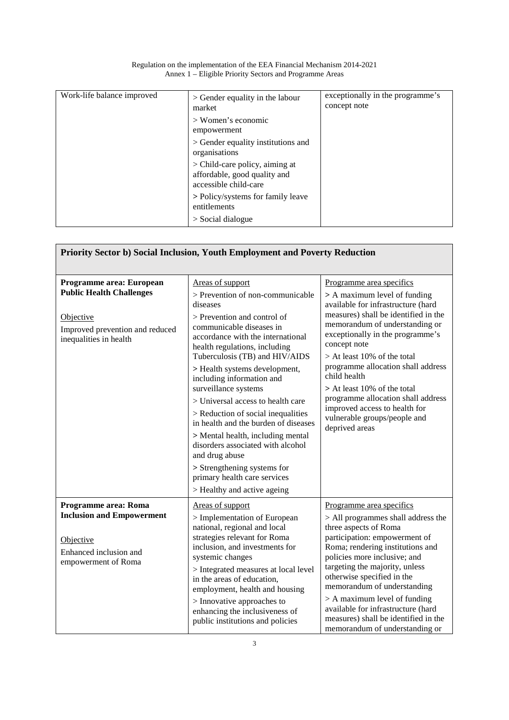| Work-life balance improved | $>$ Gender equality in the labour<br>market                                             | exceptionally in the programme's<br>concept note |
|----------------------------|-----------------------------------------------------------------------------------------|--------------------------------------------------|
|                            | $>$ Women's economic<br>empowerment                                                     |                                                  |
|                            | > Gender equality institutions and<br>organisations                                     |                                                  |
|                            | > Child-care policy, aiming at<br>affordable, good quality and<br>accessible child-care |                                                  |
|                            | > Policy/systems for family leave<br>entitlements                                       |                                                  |
|                            | $>$ Social dialogue                                                                     |                                                  |

| Regulation on the implementation of the EEA Financial Mechanism 2014-2021 |
|---------------------------------------------------------------------------|
| Annex 1 – Eligible Priority Sectors and Programme Areas                   |

| Priority Sector b) Social Inclusion, Youth Employment and Poverty Reduction                                                           |                                                                                                                                                                                                                                                                                                                                                                                                                                                                                                                                                                                                                                          |                                                                                                                                                                                                                                                                                                                                                                                                                                                                           |
|---------------------------------------------------------------------------------------------------------------------------------------|------------------------------------------------------------------------------------------------------------------------------------------------------------------------------------------------------------------------------------------------------------------------------------------------------------------------------------------------------------------------------------------------------------------------------------------------------------------------------------------------------------------------------------------------------------------------------------------------------------------------------------------|---------------------------------------------------------------------------------------------------------------------------------------------------------------------------------------------------------------------------------------------------------------------------------------------------------------------------------------------------------------------------------------------------------------------------------------------------------------------------|
| Programme area: European<br><b>Public Health Challenges</b><br>Objective<br>Improved prevention and reduced<br>inequalities in health | Areas of support<br>> Prevention of non-communicable<br>diseases<br>> Prevention and control of<br>communicable diseases in<br>accordance with the international<br>health regulations, including<br>Tuberculosis (TB) and HIV/AIDS<br>> Health systems development,<br>including information and<br>surveillance systems<br>> Universal access to health care<br>$>$ Reduction of social inequalities<br>in health and the burden of diseases<br>> Mental health, including mental<br>disorders associated with alcohol<br>and drug abuse<br>> Strengthening systems for<br>primary health care services<br>> Healthy and active ageing | Programme area specifics<br>> A maximum level of funding<br>available for infrastructure (hard<br>measures) shall be identified in the<br>memorandum of understanding or<br>exceptionally in the programme's<br>concept note<br>> At least 10% of the total<br>programme allocation shall address<br>child health<br>> At least 10% of the total<br>programme allocation shall address<br>improved access to health for<br>vulnerable groups/people and<br>deprived areas |
| Programme area: Roma<br><b>Inclusion and Empowerment</b><br>Objective<br>Enhanced inclusion and<br>empowerment of Roma                | Areas of support<br>> Implementation of European<br>national, regional and local<br>strategies relevant for Roma<br>inclusion, and investments for<br>systemic changes<br>> Integrated measures at local level<br>in the areas of education,<br>employment, health and housing<br>> Innovative approaches to<br>enhancing the inclusiveness of<br>public institutions and policies                                                                                                                                                                                                                                                       | Programme area specifics<br>> All programmes shall address the<br>three aspects of Roma<br>participation: empowerment of<br>Roma; rendering institutions and<br>policies more inclusive; and<br>targeting the majority, unless<br>otherwise specified in the<br>memorandum of understanding<br>> A maximum level of funding<br>available for infrastructure (hard<br>measures) shall be identified in the<br>memorandum of understanding or                               |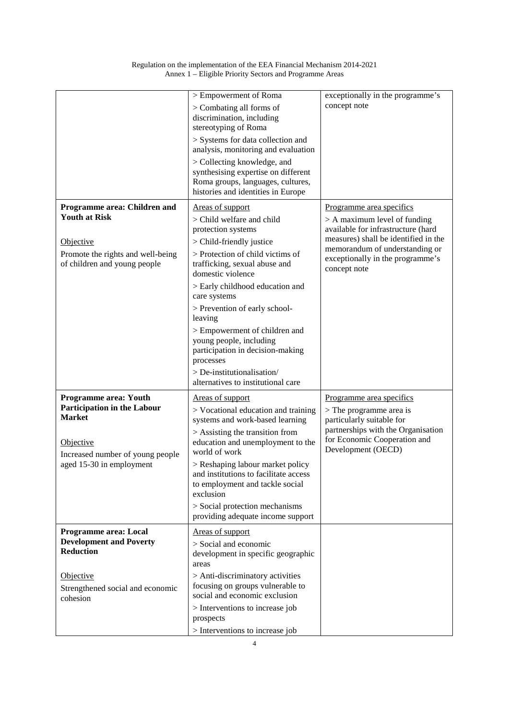|                                                                                                                                                                  | > Empowerment of Roma<br>> Combating all forms of<br>discrimination, including<br>stereotyping of Roma<br>> Systems for data collection and<br>analysis, monitoring and evaluation<br>> Collecting knowledge, and<br>synthesising expertise on different<br>Roma groups, languages, cultures,<br>histories and identities in Europe                                                                                                                                       | exceptionally in the programme's<br>concept note                                                                                                                                                                               |
|------------------------------------------------------------------------------------------------------------------------------------------------------------------|---------------------------------------------------------------------------------------------------------------------------------------------------------------------------------------------------------------------------------------------------------------------------------------------------------------------------------------------------------------------------------------------------------------------------------------------------------------------------|--------------------------------------------------------------------------------------------------------------------------------------------------------------------------------------------------------------------------------|
| Programme area: Children and<br><b>Youth at Risk</b><br>Objective<br>Promote the rights and well-being<br>of children and young people                           | Areas of support<br>> Child welfare and child<br>protection systems<br>> Child-friendly justice<br>> Protection of child victims of<br>trafficking, sexual abuse and<br>domestic violence<br>> Early childhood education and<br>care systems<br>> Prevention of early school-<br>leaving<br>> Empowerment of children and<br>young people, including<br>participation in decision-making<br>processes<br>> De-institutionalisation/<br>alternatives to institutional care | Programme area specifics<br>$> A$ maximum level of funding<br>available for infrastructure (hard<br>measures) shall be identified in the<br>memorandum of understanding or<br>exceptionally in the programme's<br>concept note |
| <b>Programme area: Youth</b><br><b>Participation in the Labour</b><br><b>Market</b><br>Objective<br>Increased number of young people<br>aged 15-30 in employment | Areas of support<br>> Vocational education and training<br>systems and work-based learning<br>$>$ Assisting the transition from<br>education and unemployment to the<br>world of work<br>> Reshaping labour market policy<br>and institutions to facilitate access<br>to employment and tackle social<br>exclusion<br>> Social protection mechanisms<br>providing adequate income support                                                                                 | Programme area specifics<br>$>$ The programme area is<br>particularly suitable for<br>partnerships with the Organisation<br>for Economic Cooperation and<br>Development (OECD)                                                 |
| Programme area: Local<br><b>Development and Poverty</b><br><b>Reduction</b><br>Objective<br>Strengthened social and economic<br>cohesion                         | Areas of support<br>> Social and economic<br>development in specific geographic<br>areas<br>> Anti-discriminatory activities<br>focusing on groups vulnerable to<br>social and economic exclusion<br>> Interventions to increase job<br>prospects<br>> Interventions to increase job                                                                                                                                                                                      |                                                                                                                                                                                                                                |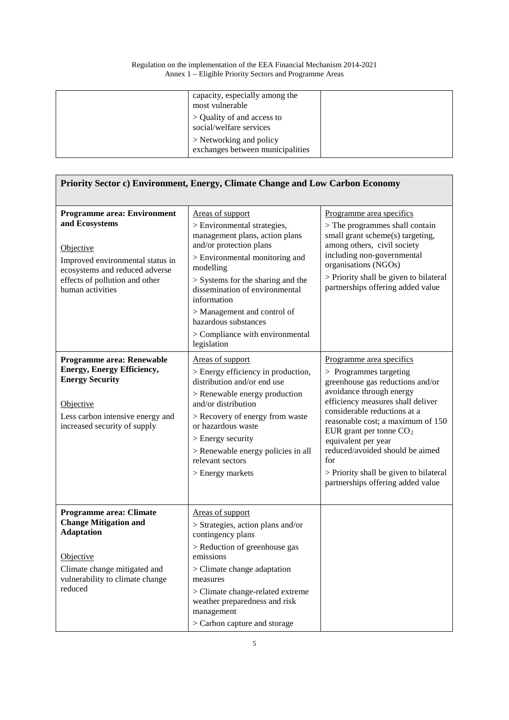| capacity, especially among the<br>most vulnerable           |  |
|-------------------------------------------------------------|--|
| > Quality of and access to<br>social/welfare services       |  |
| > Networking and policy<br>exchanges between municipalities |  |

| Priority Sector c) Environment, Energy, Climate Change and Low Carbon Economy                                                                                                  |                                                                                                                                                                                                                                                                                                                                          |                                                                                                                                                                                                                                                                                                                                                                                                             |
|--------------------------------------------------------------------------------------------------------------------------------------------------------------------------------|------------------------------------------------------------------------------------------------------------------------------------------------------------------------------------------------------------------------------------------------------------------------------------------------------------------------------------------|-------------------------------------------------------------------------------------------------------------------------------------------------------------------------------------------------------------------------------------------------------------------------------------------------------------------------------------------------------------------------------------------------------------|
| <b>Programme area: Environment</b>                                                                                                                                             | Areas of support                                                                                                                                                                                                                                                                                                                         | Programme area specifics                                                                                                                                                                                                                                                                                                                                                                                    |
| and Ecosystems<br>Objective<br>Improved environmental status in<br>ecosystems and reduced adverse<br>effects of pollution and other<br>human activities                        | > Environmental strategies,<br>management plans, action plans<br>and/or protection plans<br>> Environmental monitoring and<br>modelling<br>$>$ Systems for the sharing and the<br>dissemination of environmental<br>information<br>> Management and control of<br>hazardous substances<br>> Compliance with environmental<br>legislation | $>$ The programmes shall contain<br>small grant scheme(s) targeting,<br>among others, civil society<br>including non-governmental<br>organisations (NGOs)<br>> Priority shall be given to bilateral<br>partnerships offering added value                                                                                                                                                                    |
| Programme area: Renewable<br><b>Energy, Energy Efficiency,</b><br><b>Energy Security</b><br>Objective<br>Less carbon intensive energy and<br>increased security of supply      | Areas of support<br>> Energy efficiency in production,<br>distribution and/or end use<br>> Renewable energy production<br>and/or distribution<br>> Recovery of energy from waste<br>or hazardous waste<br>$>$ Energy security<br>> Renewable energy policies in all<br>relevant sectors<br>$>$ Energy markets                            | Programme area specifics<br>$>$ Programmes targeting<br>greenhouse gas reductions and/or<br>avoidance through energy<br>efficiency measures shall deliver<br>considerable reductions at a<br>reasonable cost; a maximum of 150<br>EUR grant per tonne $CO2$<br>equivalent per year<br>reduced/avoided should be aimed<br>for<br>> Priority shall be given to bilateral<br>partnerships offering added value |
| <b>Programme area: Climate</b><br><b>Change Mitigation and</b><br><b>Adaptation</b><br>Objective<br>Climate change mitigated and<br>vulnerability to climate change<br>reduced | Areas of support<br>> Strategies, action plans and/or<br>contingency plans<br>> Reduction of greenhouse gas<br>emissions<br>> Climate change adaptation<br>measures<br>> Climate change-related extreme<br>weather preparedness and risk<br>management<br>> Carbon capture and storage                                                   |                                                                                                                                                                                                                                                                                                                                                                                                             |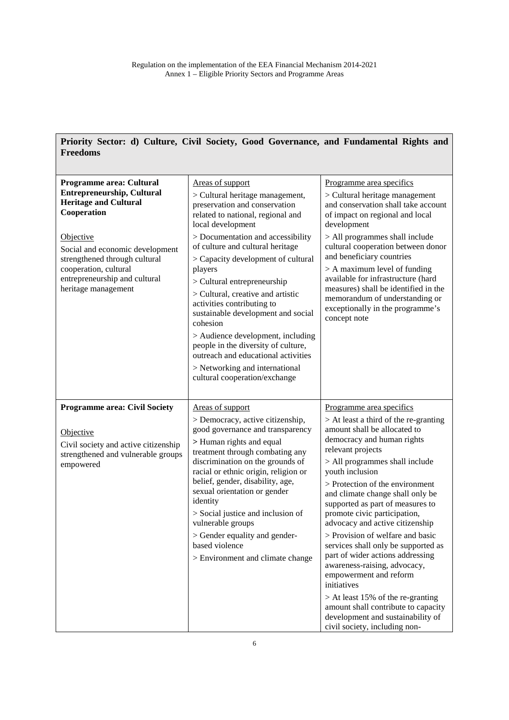ľ

| Priority Sector: d) Culture, Civil Society, Good Governance, and Fundamental Rights and<br><b>Freedoms</b>                                                                                                                                                                            |                                                                                                                                                                                                                                                                                                                                                                                                                                                                                                                                                                                                                      |                                                                                                                                                                                                                                                                                                                                                                                                                                                                                                                                                                                                                                                                                                                                       |
|---------------------------------------------------------------------------------------------------------------------------------------------------------------------------------------------------------------------------------------------------------------------------------------|----------------------------------------------------------------------------------------------------------------------------------------------------------------------------------------------------------------------------------------------------------------------------------------------------------------------------------------------------------------------------------------------------------------------------------------------------------------------------------------------------------------------------------------------------------------------------------------------------------------------|---------------------------------------------------------------------------------------------------------------------------------------------------------------------------------------------------------------------------------------------------------------------------------------------------------------------------------------------------------------------------------------------------------------------------------------------------------------------------------------------------------------------------------------------------------------------------------------------------------------------------------------------------------------------------------------------------------------------------------------|
|                                                                                                                                                                                                                                                                                       |                                                                                                                                                                                                                                                                                                                                                                                                                                                                                                                                                                                                                      |                                                                                                                                                                                                                                                                                                                                                                                                                                                                                                                                                                                                                                                                                                                                       |
| Programme area: Cultural<br><b>Entrepreneurship, Cultural</b><br><b>Heritage and Cultural</b><br>Cooperation<br><b>Objective</b><br>Social and economic development<br>strengthened through cultural<br>cooperation, cultural<br>entrepreneurship and cultural<br>heritage management | Areas of support<br>> Cultural heritage management,<br>preservation and conservation<br>related to national, regional and<br>local development<br>> Documentation and accessibility<br>of culture and cultural heritage<br>> Capacity development of cultural<br>players<br>$>$ Cultural entrepreneurship<br>> Cultural, creative and artistic<br>activities contributing to<br>sustainable development and social<br>cohesion<br>> Audience development, including<br>people in the diversity of culture,<br>outreach and educational activities<br>> Networking and international<br>cultural cooperation/exchange | Programme area specifics<br>> Cultural heritage management<br>and conservation shall take account<br>of impact on regional and local<br>development<br>> All programmes shall include<br>cultural cooperation between donor<br>and beneficiary countries<br>$> A$ maximum level of funding<br>available for infrastructure (hard<br>measures) shall be identified in the<br>memorandum of understanding or<br>exceptionally in the programme's<br>concept note                                                                                                                                                                                                                                                                        |
| <b>Programme area: Civil Society</b><br>Objective<br>Civil society and active citizenship<br>strengthened and vulnerable groups<br>empowered                                                                                                                                          | Areas of support<br>> Democracy, active citizenship,<br>good governance and transparency<br>> Human rights and equal<br>treatment through combating any<br>discrimination on the grounds of<br>racial or ethnic origin, religion or<br>belief, gender, disability, age,<br>sexual orientation or gender<br>identity<br>> Social justice and inclusion of<br>vulnerable groups<br>> Gender equality and gender-<br>based violence<br>> Environment and climate change                                                                                                                                                 | Programme area specifics<br>$>$ At least a third of the re-granting<br>amount shall be allocated to<br>democracy and human rights<br>relevant projects<br>> All programmes shall include<br>youth inclusion<br>> Protection of the environment<br>and climate change shall only be<br>supported as part of measures to<br>promote civic participation,<br>advocacy and active citizenship<br>> Provision of welfare and basic<br>services shall only be supported as<br>part of wider actions addressing<br>awareness-raising, advocacy,<br>empowerment and reform<br>initiatives<br>$>$ At least 15% of the re-granting<br>amount shall contribute to capacity<br>development and sustainability of<br>civil society, including non- |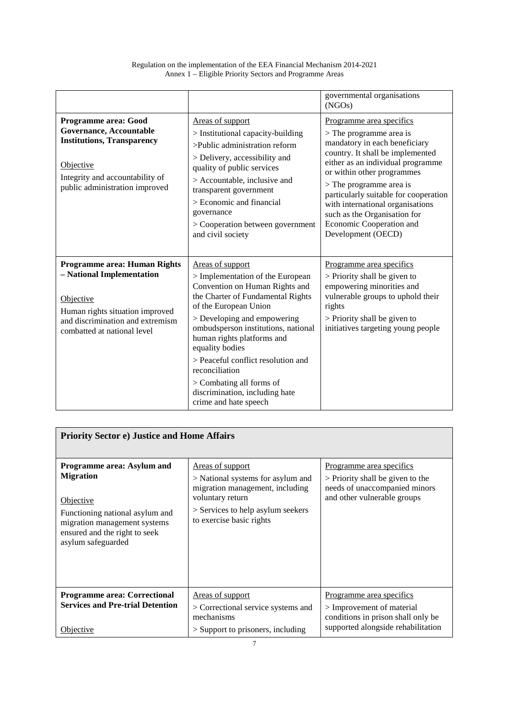|                                                                                                                                                                              |                                                                                                                                                                                                                                                                                                                                                                                                                            | governmental organisations<br>(NGOs)                                                                                                                                                                                                                                                                                                                                                      |
|------------------------------------------------------------------------------------------------------------------------------------------------------------------------------|----------------------------------------------------------------------------------------------------------------------------------------------------------------------------------------------------------------------------------------------------------------------------------------------------------------------------------------------------------------------------------------------------------------------------|-------------------------------------------------------------------------------------------------------------------------------------------------------------------------------------------------------------------------------------------------------------------------------------------------------------------------------------------------------------------------------------------|
| Programme area: Good<br>Governance, Accountable<br><b>Institutions, Transparency</b><br>Objective<br>Integrity and accountability of<br>public administration improved       | Areas of support<br>$>$ Institutional capacity-building<br>>Public administration reform<br>> Delivery, accessibility and<br>quality of public services<br>> Accountable, inclusive and<br>transparent government<br>$>$ Economic and financial<br>governance<br>> Cooperation between government<br>and civil society                                                                                                     | Programme area specifics<br>$>$ The programme area is<br>mandatory in each beneficiary<br>country. It shall be implemented<br>either as an individual programme<br>or within other programmes<br>$>$ The programme area is<br>particularly suitable for cooperation<br>with international organisations<br>such as the Organisation for<br>Economic Cooperation and<br>Development (OECD) |
| Programme area: Human Rights<br>- National Implementation<br>Objective<br>Human rights situation improved<br>and discrimination and extremism<br>combatted at national level | Areas of support<br>> Implementation of the European<br>Convention on Human Rights and<br>the Charter of Fundamental Rights<br>of the European Union<br>> Developing and empowering<br>ombudsperson institutions, national<br>human rights platforms and<br>equality bodies<br>> Peaceful conflict resolution and<br>reconciliation<br>> Combating all forms of<br>discrimination, including hate<br>crime and hate speech | Programme area specifics<br>> Priority shall be given to<br>empowering minorities and<br>vulnerable groups to uphold their<br>rights<br>> Priority shall be given to<br>initiatives targeting young people                                                                                                                                                                                |

| <b>Priority Sector e) Justice and Home Affairs</b>                                                                                                                                                  |                                                                                                                                                                                      |                                                                                                                                       |
|-----------------------------------------------------------------------------------------------------------------------------------------------------------------------------------------------------|--------------------------------------------------------------------------------------------------------------------------------------------------------------------------------------|---------------------------------------------------------------------------------------------------------------------------------------|
| <b>Programme area: Asylum and</b><br><b>Migration</b><br><b>Objective</b><br>Functioning national asylum and<br>migration management systems<br>ensured and the right to seek<br>asylum safeguarded | <u>Areas of support</u><br>> National systems for asylum and<br>migration management, including<br>voluntary return<br>> Services to help asylum seekers<br>to exercise basic rights | <u>Programme</u> area specifics<br>$>$ Priority shall be given to the<br>needs of unaccompanied minors<br>and other vulnerable groups |
| <b>Programme area: Correctional</b><br><b>Services and Pre-trial Detention</b>                                                                                                                      | Areas of support<br>> Correctional service systems and<br>mechanisms                                                                                                                 | Programme area specifics<br>> Improvement of material<br>conditions in prison shall only be                                           |
| Objective                                                                                                                                                                                           | $>$ Support to prisoners, including                                                                                                                                                  | supported alongside rehabilitation                                                                                                    |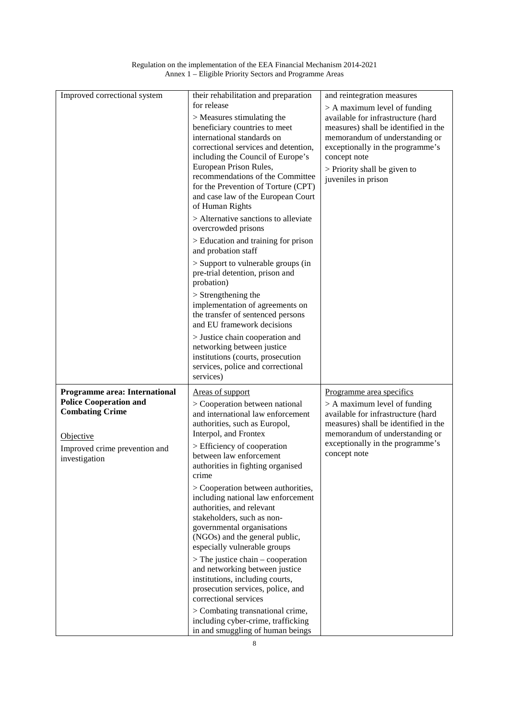| Regulation on the implementation of the EEA Financial Mechanism 2014-2021 |  |
|---------------------------------------------------------------------------|--|
| Annex 1 – Eligible Priority Sectors and Programme Areas                   |  |

| Improved correctional system                                   | their rehabilitation and preparation                                                | and reintegration measures                                                 |
|----------------------------------------------------------------|-------------------------------------------------------------------------------------|----------------------------------------------------------------------------|
|                                                                | for release                                                                         | $>$ A maximum level of funding                                             |
|                                                                | > Measures stimulating the<br>beneficiary countries to meet                         | available for infrastructure (hard<br>measures) shall be identified in the |
|                                                                | international standards on                                                          | memorandum of understanding or                                             |
|                                                                | correctional services and detention,                                                | exceptionally in the programme's                                           |
|                                                                | including the Council of Europe's                                                   | concept note                                                               |
|                                                                | European Prison Rules,<br>recommendations of the Committee                          | > Priority shall be given to                                               |
|                                                                | for the Prevention of Torture (CPT)                                                 | juveniles in prison                                                        |
|                                                                | and case law of the European Court                                                  |                                                                            |
|                                                                | of Human Rights                                                                     |                                                                            |
|                                                                | > Alternative sanctions to alleviate<br>overcrowded prisons                         |                                                                            |
|                                                                | > Education and training for prison<br>and probation staff                          |                                                                            |
|                                                                | > Support to vulnerable groups (in<br>pre-trial detention, prison and<br>probation) |                                                                            |
|                                                                | $>$ Strengthening the                                                               |                                                                            |
|                                                                | implementation of agreements on                                                     |                                                                            |
|                                                                | the transfer of sentenced persons<br>and EU framework decisions                     |                                                                            |
|                                                                | > Justice chain cooperation and                                                     |                                                                            |
|                                                                | networking between justice                                                          |                                                                            |
|                                                                | institutions (courts, prosecution                                                   |                                                                            |
|                                                                |                                                                                     |                                                                            |
|                                                                | services, police and correctional                                                   |                                                                            |
|                                                                | services)                                                                           |                                                                            |
| Programme area: International<br><b>Police Cooperation and</b> | Areas of support                                                                    | Programme area specifics                                                   |
| <b>Combating Crime</b>                                         | > Cooperation between national<br>and international law enforcement                 | $> A$ maximum level of funding<br>available for infrastructure (hard       |
|                                                                | authorities, such as Europol,                                                       | measures) shall be identified in the                                       |
| Objective                                                      | Interpol, and Frontex                                                               | memorandum of understanding or                                             |
| Improved crime prevention and                                  | > Efficiency of cooperation                                                         | exceptionally in the programme's<br>concept note                           |
| investigation                                                  | between law enforcement<br>authorities in fighting organised                        |                                                                            |
|                                                                | crime                                                                               |                                                                            |
|                                                                | > Cooperation between authorities,                                                  |                                                                            |
|                                                                | including national law enforcement<br>authorities, and relevant                     |                                                                            |
|                                                                | stakeholders, such as non-                                                          |                                                                            |
|                                                                | governmental organisations                                                          |                                                                            |
|                                                                | (NGOs) and the general public,                                                      |                                                                            |
|                                                                | especially vulnerable groups                                                        |                                                                            |
|                                                                | $>$ The justice chain – cooperation<br>and networking between justice               |                                                                            |
|                                                                | institutions, including courts,                                                     |                                                                            |
|                                                                | prosecution services, police, and<br>correctional services                          |                                                                            |
|                                                                | > Combating transnational crime,                                                    |                                                                            |
|                                                                |                                                                                     |                                                                            |
|                                                                |                                                                                     |                                                                            |
|                                                                | including cyber-crime, trafficking<br>in and smuggling of human beings              |                                                                            |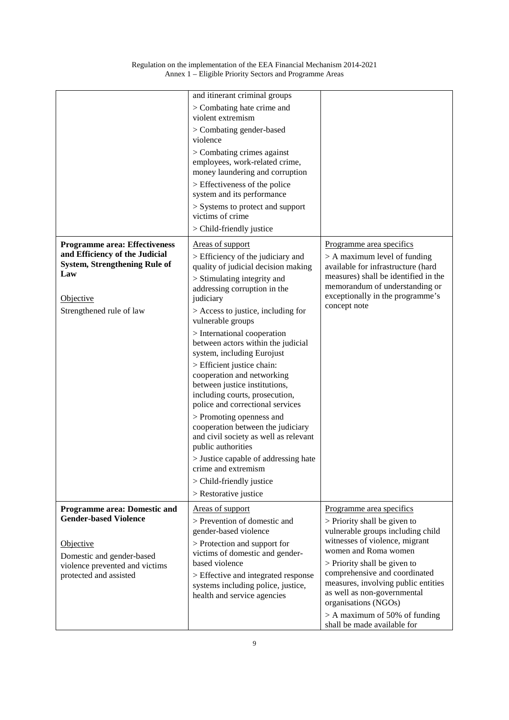|                                                                                                                                                                           | and itinerant criminal groups<br>> Combating hate crime and<br>violent extremism<br>> Combating gender-based<br>violence<br>> Combating crimes against<br>employees, work-related crime,<br>money laundering and corruption<br>> Effectiveness of the police<br>system and its performance<br>> Systems to protect and support<br>victims of crime<br>> Child-friendly justice                                                                                                                                                                                                                                                                                                                                                                                |                                                                                                                                                                                                                                                                                                                                                                                            |
|---------------------------------------------------------------------------------------------------------------------------------------------------------------------------|---------------------------------------------------------------------------------------------------------------------------------------------------------------------------------------------------------------------------------------------------------------------------------------------------------------------------------------------------------------------------------------------------------------------------------------------------------------------------------------------------------------------------------------------------------------------------------------------------------------------------------------------------------------------------------------------------------------------------------------------------------------|--------------------------------------------------------------------------------------------------------------------------------------------------------------------------------------------------------------------------------------------------------------------------------------------------------------------------------------------------------------------------------------------|
| <b>Programme area: Effectiveness</b><br>and Efficiency of the Judicial<br><b>System, Strengthening Rule of</b><br>Law<br>Objective<br>Strengthened rule of law            | Areas of support<br>> Efficiency of the judiciary and<br>quality of judicial decision making<br>> Stimulating integrity and<br>addressing corruption in the<br>judiciary<br>> Access to justice, including for<br>vulnerable groups<br>> International cooperation<br>between actors within the judicial<br>system, including Eurojust<br>> Efficient justice chain:<br>cooperation and networking<br>between justice institutions,<br>including courts, prosecution,<br>police and correctional services<br>> Promoting openness and<br>cooperation between the judiciary<br>and civil society as well as relevant<br>public authorities<br>> Justice capable of addressing hate<br>crime and extremism<br>> Child-friendly justice<br>> Restorative justice | Programme area specifics<br>$> A$ maximum level of funding<br>available for infrastructure (hard<br>measures) shall be identified in the<br>memorandum of understanding or<br>exceptionally in the programme's<br>concept note                                                                                                                                                             |
| <b>Programme area: Domestic and</b><br><b>Gender-based Violence</b><br>Objective<br>Domestic and gender-based<br>violence prevented and victims<br>protected and assisted | Areas of support<br>> Prevention of domestic and<br>gender-based violence<br>> Protection and support for<br>victims of domestic and gender-<br>based violence<br>> Effective and integrated response<br>systems including police, justice,<br>health and service agencies                                                                                                                                                                                                                                                                                                                                                                                                                                                                                    | Programme area specifics<br>$>$ Priority shall be given to<br>vulnerable groups including child<br>witnesses of violence, migrant<br>women and Roma women<br>> Priority shall be given to<br>comprehensive and coordinated<br>measures, involving public entities<br>as well as non-governmental<br>organisations (NGOs)<br>$> A$ maximum of 50% of funding<br>shall be made available for |